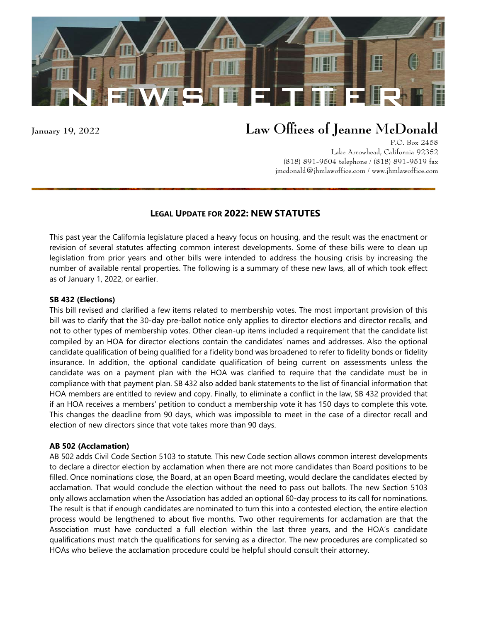

# **January 19, 2022** Law Offices of Jeanne McDonald

P.O. Box 2458 Lake Arrowhead, California 92352 (818) 891-9504 telephone / (818) 891-9519 fax [jmcdonald@jhmlawoffice.com](mailto:jmcdonald@jhmlawoffice.com) / www.jhmlawoffice.com

# **LEGAL UPDATE FOR 2022: NEW STATUTES**

This past year the California legislature placed a heavy focus on housing, and the result was the enactment or revision of several statutes affecting common interest developments. Some of these bills were to clean up legislation from prior years and other bills were intended to address the housing crisis by increasing the number of available rental properties. The following is a summary of these new laws, all of which took effect as of January 1, 2022, or earlier.

## **SB 432 (Elections)**

This bill revised and clarified a few items related to membership votes. The most important provision of this bill was to clarify that the 30-day pre-ballot notice only applies to director elections and director recalls, and not to other types of membership votes. Other clean-up items included a requirement that the candidate list compiled by an HOA for director elections contain the candidates' names and addresses. Also the optional candidate qualification of being qualified for a fidelity bond was broadened to refer to fidelity bonds or fidelity insurance. In addition, the optional candidate qualification of being current on assessments unless the candidate was on a payment plan with the HOA was clarified to require that the candidate must be in compliance with that payment plan. SB 432 also added bank statements to the list of financial information that HOA members are entitled to review and copy. Finally, to eliminate a conflict in the law, SB 432 provided that if an HOA receives a members' petition to conduct a membership vote it has 150 days to complete this vote. This changes the deadline from 90 days, which was impossible to meet in the case of a director recall and election of new directors since that vote takes more than 90 days.

## **AB 502 (Acclamation)**

AB 502 adds Civil Code Section 5103 to statute. This new Code section allows common interest developments to declare a director election by acclamation when there are not more candidates than Board positions to be filled. Once nominations close, the Board, at an open Board meeting, would declare the candidates elected by acclamation. That would conclude the election without the need to pass out ballots. The new Section 5103 only allows acclamation when the Association has added an optional 60-day process to its call for nominations. The result is that if enough candidates are nominated to turn this into a contested election, the entire election process would be lengthened to about five months. Two other requirements for acclamation are that the Association must have conducted a full election within the last three years, and the HOA's candidate qualifications must match the qualifications for serving as a director. The new procedures are complicated so HOAs who believe the acclamation procedure could be helpful should consult their attorney.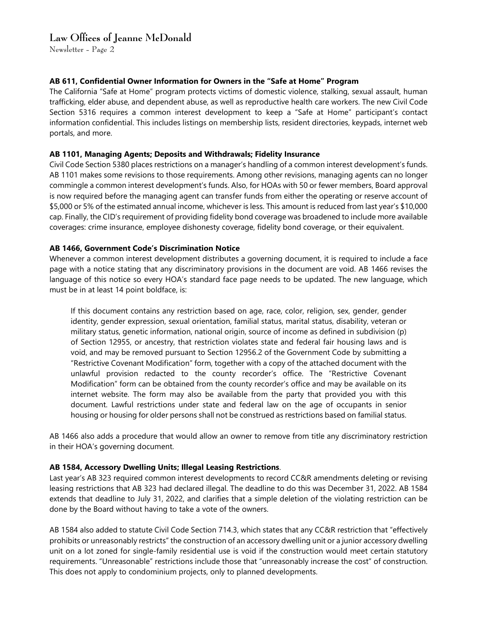# Law Offices of Jeanne McDonald

Newsletter - Page 2

# **AB 611, Confidential Owner Information for Owners in the "Safe at Home" Program**

The California "Safe at Home" program protects victims of domestic violence, stalking, sexual assault, human trafficking, elder abuse, and dependent abuse, as well as reproductive health care workers. The new Civil Code Section 5316 requires a common interest development to keep a "Safe at Home" participant's contact information confidential. This includes listings on membership lists, resident directories, keypads, internet web portals, and more.

## **AB 1101, Managing Agents; Deposits and Withdrawals; Fidelity Insurance**

Civil Code Section 5380 places restrictions on a manager's handling of a common interest development's funds. AB 1101 makes some revisions to those requirements. Among other revisions, managing agents can no longer commingle a common interest development's funds. Also, for HOAs with 50 or fewer members, Board approval is now required before the managing agent can transfer funds from either the operating or reserve account of \$5,000 or 5% of the estimated annual income, whichever is less. This amount is reduced from last year's \$10,000 cap. Finally, the CID's requirement of providing fidelity bond coverage was broadened to include more available coverages: crime insurance, employee dishonesty coverage, fidelity bond coverage, or their equivalent.

# **AB 1466, Government Code's Discrimination Notice**

Whenever a common interest development distributes a governing document, it is required to include a face page with a notice stating that any discriminatory provisions in the document are void. AB 1466 revises the language of this notice so every HOA's standard face page needs to be updated. The new language, which must be in at least 14 point boldface, is:

If this document contains any restriction based on age, race, color, religion, sex, gender, gender identity, gender expression, sexual orientation, familial status, marital status, disability, veteran or military status, genetic information, national origin, source of income as defined in subdivision (p) of Section 12955, or ancestry, that restriction violates state and federal fair housing laws and is void, and may be removed pursuant to Section 12956.2 of the Government Code by submitting a "Restrictive Covenant Modification" form, together with a copy of the attached document with the unlawful provision redacted to the county recorder's office. The "Restrictive Covenant Modification" form can be obtained from the county recorder's office and may be available on its internet website. The form may also be available from the party that provided you with this document. Lawful restrictions under state and federal law on the age of occupants in senior housing or housing for older persons shall not be construed as restrictions based on familial status.

AB 1466 also adds a procedure that would allow an owner to remove from title any discriminatory restriction in their HOA's governing document.

## **AB 1584, Accessory Dwelling Units; Illegal Leasing Restrictions**.

Last year's AB 323 required common interest developments to record CC&R amendments deleting or revising leasing restrictions that AB 323 had declared illegal. The deadline to do this was December 31, 2022. AB 1584 extends that deadline to July 31, 2022, and clarifies that a simple deletion of the violating restriction can be done by the Board without having to take a vote of the owners.

AB 1584 also added to statute Civil Code Section 714.3, which states that any CC&R restriction that "effectively prohibits or unreasonably restricts" the construction of an accessory dwelling unit or a junior accessory dwelling unit on a lot zoned for single-family residential use is void if the construction would meet certain statutory requirements. "Unreasonable" restrictions include those that "unreasonably increase the cost" of construction. This does not apply to condominium projects, only to planned developments.